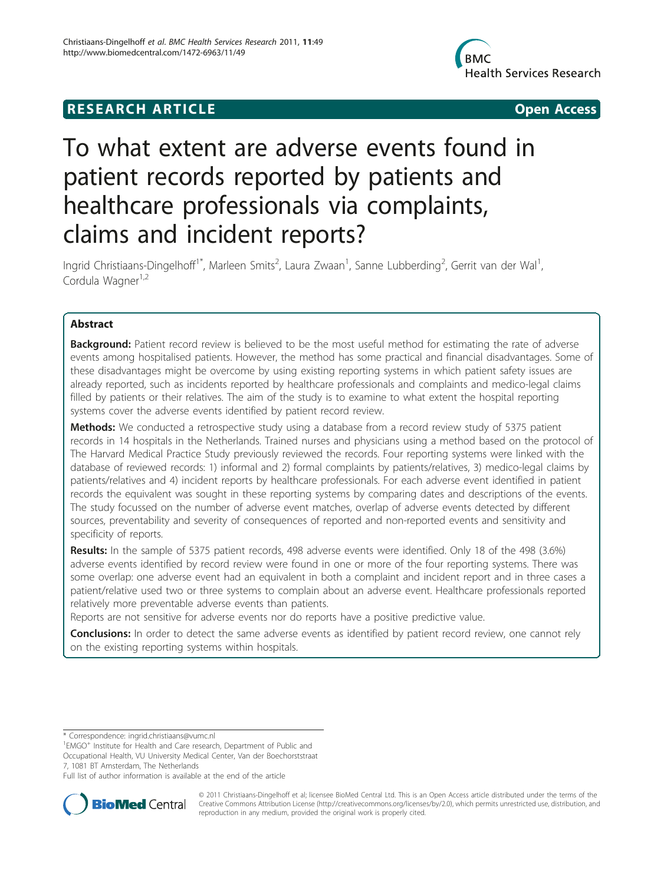# **RESEARCH ARTICLE Example 2018 12:00 Open Access**





# To what extent are adverse events found in patient records reported by patients and healthcare professionals via complaints, claims and incident reports?

Ingrid Christiaans-Dingelhoff<sup>1\*</sup>, Marleen Smits<sup>2</sup>, Laura Zwaan<sup>1</sup>, Sanne Lubberding<sup>2</sup>, Gerrit van der Wal<sup>1</sup> , Cordula Wagner<sup>1,2</sup>

# Abstract

Background: Patient record review is believed to be the most useful method for estimating the rate of adverse events among hospitalised patients. However, the method has some practical and financial disadvantages. Some of these disadvantages might be overcome by using existing reporting systems in which patient safety issues are already reported, such as incidents reported by healthcare professionals and complaints and medico-legal claims filled by patients or their relatives. The aim of the study is to examine to what extent the hospital reporting systems cover the adverse events identified by patient record review.

Methods: We conducted a retrospective study using a database from a record review study of 5375 patient records in 14 hospitals in the Netherlands. Trained nurses and physicians using a method based on the protocol of The Harvard Medical Practice Study previously reviewed the records. Four reporting systems were linked with the database of reviewed records: 1) informal and 2) formal complaints by patients/relatives, 3) medico-legal claims by patients/relatives and 4) incident reports by healthcare professionals. For each adverse event identified in patient records the equivalent was sought in these reporting systems by comparing dates and descriptions of the events. The study focussed on the number of adverse event matches, overlap of adverse events detected by different sources, preventability and severity of consequences of reported and non-reported events and sensitivity and specificity of reports.

Results: In the sample of 5375 patient records, 498 adverse events were identified. Only 18 of the 498 (3.6%) adverse events identified by record review were found in one or more of the four reporting systems. There was some overlap: one adverse event had an equivalent in both a complaint and incident report and in three cases a patient/relative used two or three systems to complain about an adverse event. Healthcare professionals reported relatively more preventable adverse events than patients.

Reports are not sensitive for adverse events nor do reports have a positive predictive value.

Conclusions: In order to detect the same adverse events as identified by patient record review, one cannot rely on the existing reporting systems within hospitals.

Full list of author information is available at the end of the article



© 2011 Christiaans-Dingelhoff et al; licensee BioMed Central Ltd. This is an Open Access article distributed under the terms of the Creative Commons Attribution License (<http://creativecommons.org/licenses/by/2.0>), which permits unrestricted use, distribution, and reproduction in any medium, provided the original work is properly cited.

<sup>\*</sup> Correspondence: [ingrid.christiaans@vumc.nl](mailto:ingrid.christiaans@vumc.nl)

<sup>&</sup>lt;sup>1</sup> EMGO<sup>+</sup> Institute for Health and Care research, Department of Public and

Occupational Health, VU University Medical Center, Van der Boechorststraat 7, 1081 BT Amsterdam, The Netherlands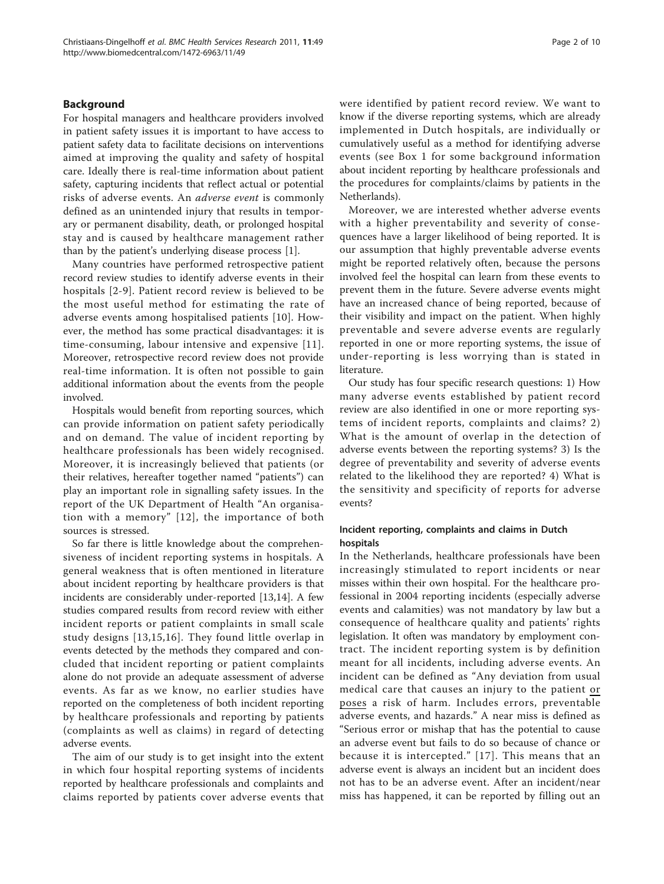## Background

For hospital managers and healthcare providers involved in patient safety issues it is important to have access to patient safety data to facilitate decisions on interventions aimed at improving the quality and safety of hospital care. Ideally there is real-time information about patient safety, capturing incidents that reflect actual or potential risks of adverse events. An adverse event is commonly defined as an unintended injury that results in temporary or permanent disability, death, or prolonged hospital stay and is caused by healthcare management rather than by the patient's underlying disease process [[1\]](#page-8-0).

Many countries have performed retrospective patient record review studies to identify adverse events in their hospitals [[2](#page-8-0)-[9](#page-8-0)]. Patient record review is believed to be the most useful method for estimating the rate of adverse events among hospitalised patients [[10\]](#page-8-0). However, the method has some practical disadvantages: it is time-consuming, labour intensive and expensive [[11\]](#page-8-0). Moreover, retrospective record review does not provide real-time information. It is often not possible to gain additional information about the events from the people involved.

Hospitals would benefit from reporting sources, which can provide information on patient safety periodically and on demand. The value of incident reporting by healthcare professionals has been widely recognised. Moreover, it is increasingly believed that patients (or their relatives, hereafter together named "patients") can play an important role in signalling safety issues. In the report of the UK Department of Health "An organisation with a memory" [[12](#page-8-0)], the importance of both sources is stressed.

So far there is little knowledge about the comprehensiveness of incident reporting systems in hospitals. A general weakness that is often mentioned in literature about incident reporting by healthcare providers is that incidents are considerably under-reported [[13,14\]](#page-8-0). A few studies compared results from record review with either incident reports or patient complaints in small scale study designs [[13](#page-8-0),[15,16\]](#page-8-0). They found little overlap in events detected by the methods they compared and concluded that incident reporting or patient complaints alone do not provide an adequate assessment of adverse events. As far as we know, no earlier studies have reported on the completeness of both incident reporting by healthcare professionals and reporting by patients (complaints as well as claims) in regard of detecting adverse events.

The aim of our study is to get insight into the extent in which four hospital reporting systems of incidents reported by healthcare professionals and complaints and claims reported by patients cover adverse events that were identified by patient record review. We want to know if the diverse reporting systems, which are already implemented in Dutch hospitals, are individually or cumulatively useful as a method for identifying adverse events (see Box 1 for some background information about incident reporting by healthcare professionals and the procedures for complaints/claims by patients in the Netherlands).

Moreover, we are interested whether adverse events with a higher preventability and severity of consequences have a larger likelihood of being reported. It is our assumption that highly preventable adverse events might be reported relatively often, because the persons involved feel the hospital can learn from these events to prevent them in the future. Severe adverse events might have an increased chance of being reported, because of their visibility and impact on the patient. When highly preventable and severe adverse events are regularly reported in one or more reporting systems, the issue of under-reporting is less worrying than is stated in literature.

Our study has four specific research questions: 1) How many adverse events established by patient record review are also identified in one or more reporting systems of incident reports, complaints and claims? 2) What is the amount of overlap in the detection of adverse events between the reporting systems? 3) Is the degree of preventability and severity of adverse events related to the likelihood they are reported? 4) What is the sensitivity and specificity of reports for adverse events?

# Incident reporting, complaints and claims in Dutch hospitals

In the Netherlands, healthcare professionals have been increasingly stimulated to report incidents or near misses within their own hospital. For the healthcare professional in 2004 reporting incidents (especially adverse events and calamities) was not mandatory by law but a consequence of healthcare quality and patients' rights legislation. It often was mandatory by employment contract. The incident reporting system is by definition meant for all incidents, including adverse events. An incident can be defined as "Any deviation from usual medical care that causes an injury to the patient or poses a risk of harm. Includes errors, preventable adverse events, and hazards." A near miss is defined as "Serious error or mishap that has the potential to cause an adverse event but fails to do so because of chance or because it is intercepted." [[17\]](#page-8-0). This means that an adverse event is always an incident but an incident does not has to be an adverse event. After an incident/near miss has happened, it can be reported by filling out an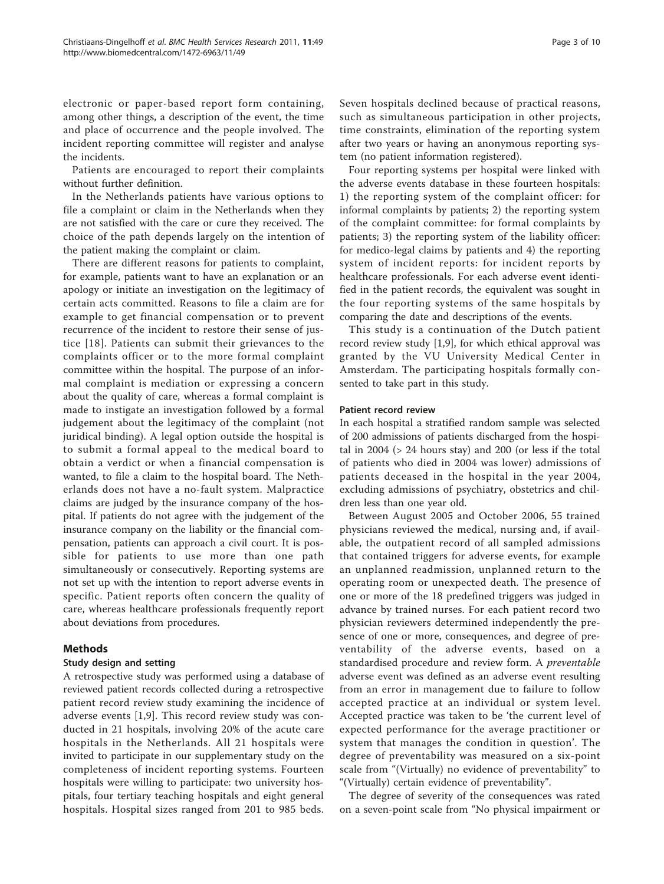electronic or paper-based report form containing, among other things, a description of the event, the time and place of occurrence and the people involved. The incident reporting committee will register and analyse the incidents.

Patients are encouraged to report their complaints without further definition.

In the Netherlands patients have various options to file a complaint or claim in the Netherlands when they are not satisfied with the care or cure they received. The choice of the path depends largely on the intention of the patient making the complaint or claim.

There are different reasons for patients to complaint, for example, patients want to have an explanation or an apology or initiate an investigation on the legitimacy of certain acts committed. Reasons to file a claim are for example to get financial compensation or to prevent recurrence of the incident to restore their sense of justice [[18](#page-8-0)]. Patients can submit their grievances to the complaints officer or to the more formal complaint committee within the hospital. The purpose of an informal complaint is mediation or expressing a concern about the quality of care, whereas a formal complaint is made to instigate an investigation followed by a formal judgement about the legitimacy of the complaint (not juridical binding). A legal option outside the hospital is to submit a formal appeal to the medical board to obtain a verdict or when a financial compensation is wanted, to file a claim to the hospital board. The Netherlands does not have a no-fault system. Malpractice claims are judged by the insurance company of the hospital. If patients do not agree with the judgement of the insurance company on the liability or the financial compensation, patients can approach a civil court. It is possible for patients to use more than one path simultaneously or consecutively. Reporting systems are not set up with the intention to report adverse events in specific. Patient reports often concern the quality of care, whereas healthcare professionals frequently report about deviations from procedures.

# Methods

### Study design and setting

A retrospective study was performed using a database of reviewed patient records collected during a retrospective patient record review study examining the incidence of adverse events [[1,9](#page-8-0)]. This record review study was conducted in 21 hospitals, involving 20% of the acute care hospitals in the Netherlands. All 21 hospitals were invited to participate in our supplementary study on the completeness of incident reporting systems. Fourteen hospitals were willing to participate: two university hospitals, four tertiary teaching hospitals and eight general hospitals. Hospital sizes ranged from 201 to 985 beds. Seven hospitals declined because of practical reasons, such as simultaneous participation in other projects, time constraints, elimination of the reporting system after two years or having an anonymous reporting system (no patient information registered).

Four reporting systems per hospital were linked with the adverse events database in these fourteen hospitals: 1) the reporting system of the complaint officer: for informal complaints by patients; 2) the reporting system of the complaint committee: for formal complaints by patients; 3) the reporting system of the liability officer: for medico-legal claims by patients and 4) the reporting system of incident reports: for incident reports by healthcare professionals. For each adverse event identified in the patient records, the equivalent was sought in the four reporting systems of the same hospitals by comparing the date and descriptions of the events.

This study is a continuation of the Dutch patient record review study [\[1,9](#page-8-0)], for which ethical approval was granted by the VU University Medical Center in Amsterdam. The participating hospitals formally consented to take part in this study.

#### Patient record review

In each hospital a stratified random sample was selected of 200 admissions of patients discharged from the hospital in 2004 (> 24 hours stay) and 200 (or less if the total of patients who died in 2004 was lower) admissions of patients deceased in the hospital in the year 2004, excluding admissions of psychiatry, obstetrics and children less than one year old.

Between August 2005 and October 2006, 55 trained physicians reviewed the medical, nursing and, if available, the outpatient record of all sampled admissions that contained triggers for adverse events, for example an unplanned readmission, unplanned return to the operating room or unexpected death. The presence of one or more of the 18 predefined triggers was judged in advance by trained nurses. For each patient record two physician reviewers determined independently the presence of one or more, consequences, and degree of preventability of the adverse events, based on a standardised procedure and review form. A preventable adverse event was defined as an adverse event resulting from an error in management due to failure to follow accepted practice at an individual or system level. Accepted practice was taken to be 'the current level of expected performance for the average practitioner or system that manages the condition in question'. The degree of preventability was measured on a six-point scale from "(Virtually) no evidence of preventability" to "(Virtually) certain evidence of preventability".

The degree of severity of the consequences was rated on a seven-point scale from "No physical impairment or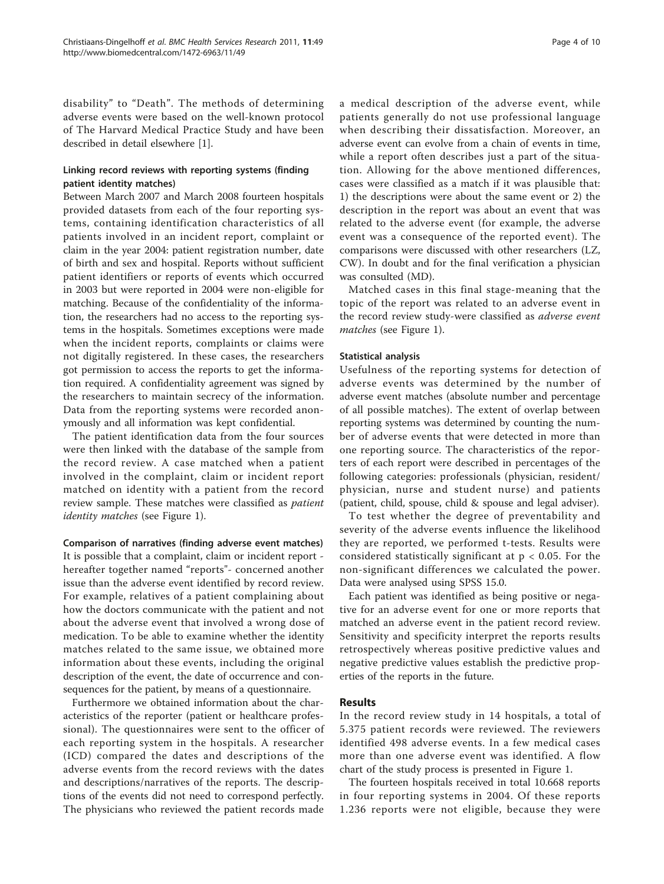disability" to "Death". The methods of determining adverse events were based on the well-known protocol of The Harvard Medical Practice Study and have been described in detail elsewhere [\[1\]](#page-8-0).

# Linking record reviews with reporting systems (finding patient identity matches)

Between March 2007 and March 2008 fourteen hospitals provided datasets from each of the four reporting systems, containing identification characteristics of all patients involved in an incident report, complaint or claim in the year 2004: patient registration number, date of birth and sex and hospital. Reports without sufficient patient identifiers or reports of events which occurred in 2003 but were reported in 2004 were non-eligible for matching. Because of the confidentiality of the information, the researchers had no access to the reporting systems in the hospitals. Sometimes exceptions were made when the incident reports, complaints or claims were not digitally registered. In these cases, the researchers got permission to access the reports to get the information required. A confidentiality agreement was signed by the researchers to maintain secrecy of the information. Data from the reporting systems were recorded anonymously and all information was kept confidential.

The patient identification data from the four sources were then linked with the database of the sample from the record review. A case matched when a patient involved in the complaint, claim or incident report matched on identity with a patient from the record review sample. These matches were classified as patient identity matches (see Figure [1\)](#page-4-0).

### Comparison of narratives (finding adverse event matches)

It is possible that a complaint, claim or incident report hereafter together named "reports"- concerned another issue than the adverse event identified by record review. For example, relatives of a patient complaining about how the doctors communicate with the patient and not about the adverse event that involved a wrong dose of medication. To be able to examine whether the identity matches related to the same issue, we obtained more information about these events, including the original description of the event, the date of occurrence and consequences for the patient, by means of a questionnaire.

Furthermore we obtained information about the characteristics of the reporter (patient or healthcare professional). The questionnaires were sent to the officer of each reporting system in the hospitals. A researcher (ICD) compared the dates and descriptions of the adverse events from the record reviews with the dates and descriptions/narratives of the reports. The descriptions of the events did not need to correspond perfectly. The physicians who reviewed the patient records made a medical description of the adverse event, while patients generally do not use professional language when describing their dissatisfaction. Moreover, an adverse event can evolve from a chain of events in time, while a report often describes just a part of the situation. Allowing for the above mentioned differences, cases were classified as a match if it was plausible that: 1) the descriptions were about the same event or 2) the description in the report was about an event that was related to the adverse event (for example, the adverse event was a consequence of the reported event). The comparisons were discussed with other researchers (LZ, CW). In doubt and for the final verification a physician was consulted (MD).

Matched cases in this final stage-meaning that the topic of the report was related to an adverse event in the record review study-were classified as adverse event matches (see Figure [1\)](#page-4-0).

### Statistical analysis

Usefulness of the reporting systems for detection of adverse events was determined by the number of adverse event matches (absolute number and percentage of all possible matches). The extent of overlap between reporting systems was determined by counting the number of adverse events that were detected in more than one reporting source. The characteristics of the reporters of each report were described in percentages of the following categories: professionals (physician, resident/ physician, nurse and student nurse) and patients (patient, child, spouse, child & spouse and legal adviser).

To test whether the degree of preventability and severity of the adverse events influence the likelihood they are reported, we performed t-tests. Results were considered statistically significant at  $p < 0.05$ . For the non-significant differences we calculated the power. Data were analysed using SPSS 15.0.

Each patient was identified as being positive or negative for an adverse event for one or more reports that matched an adverse event in the patient record review. Sensitivity and specificity interpret the reports results retrospectively whereas positive predictive values and negative predictive values establish the predictive properties of the reports in the future.

### Results

In the record review study in 14 hospitals, a total of 5.375 patient records were reviewed. The reviewers identified 498 adverse events. In a few medical cases more than one adverse event was identified. A flow chart of the study process is presented in Figure [1.](#page-4-0)

The fourteen hospitals received in total 10.668 reports in four reporting systems in 2004. Of these reports 1.236 reports were not eligible, because they were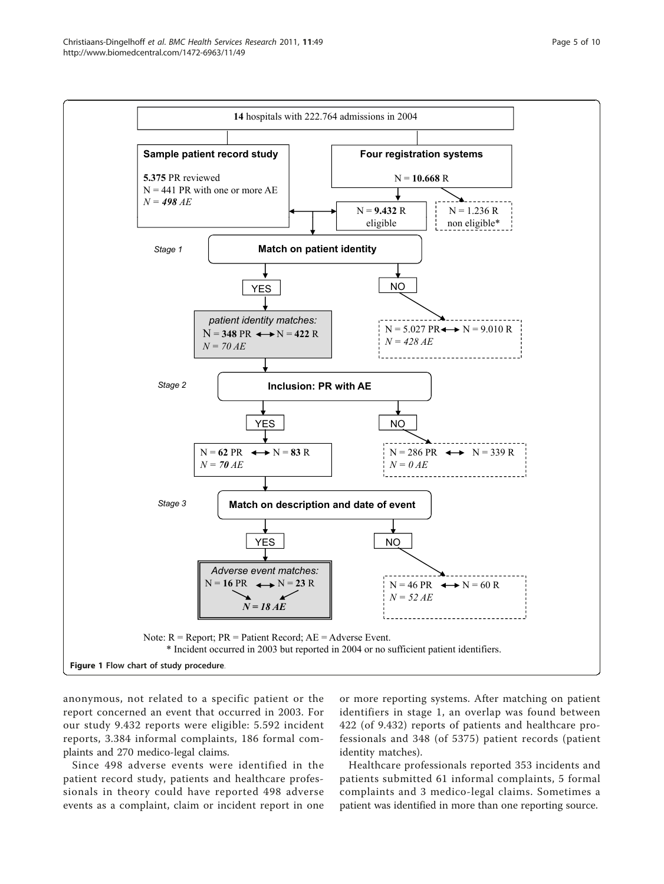<span id="page-4-0"></span>

anonymous, not related to a specific patient or the report concerned an event that occurred in 2003. For our study 9.432 reports were eligible: 5.592 incident reports, 3.384 informal complaints, 186 formal complaints and 270 medico-legal claims.

Since 498 adverse events were identified in the patient record study, patients and healthcare professionals in theory could have reported 498 adverse events as a complaint, claim or incident report in one

or more reporting systems. After matching on patient identifiers in stage 1, an overlap was found between 422 (of 9.432) reports of patients and healthcare professionals and 348 (of 5375) patient records (patient identity matches).

Healthcare professionals reported 353 incidents and patients submitted 61 informal complaints, 5 formal complaints and 3 medico-legal claims. Sometimes a patient was identified in more than one reporting source.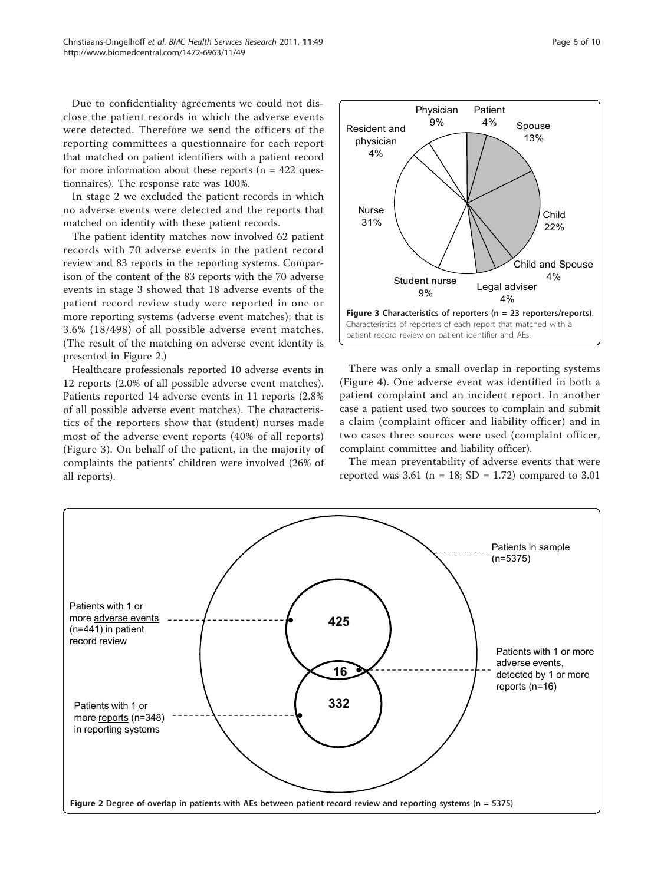Due to confidentiality agreements we could not disclose the patient records in which the adverse events were detected. Therefore we send the officers of the reporting committees a questionnaire for each report that matched on patient identifiers with a patient record for more information about these reports ( $n = 422$  questionnaires). The response rate was 100%.

In stage 2 we excluded the patient records in which no adverse events were detected and the reports that matched on identity with these patient records.

The patient identity matches now involved 62 patient records with 70 adverse events in the patient record review and 83 reports in the reporting systems. Comparison of the content of the 83 reports with the 70 adverse events in stage 3 showed that 18 adverse events of the patient record review study were reported in one or more reporting systems (adverse event matches); that is 3.6% (18/498) of all possible adverse event matches. (The result of the matching on adverse event identity is presented in Figure 2.)

Healthcare professionals reported 10 adverse events in 12 reports (2.0% of all possible adverse event matches). Patients reported 14 adverse events in 11 reports (2.8% of all possible adverse event matches). The characteristics of the reporters show that (student) nurses made most of the adverse event reports (40% of all reports) (Figure 3). On behalf of the patient, in the majority of complaints the patients' children were involved (26% of all reports).



There was only a small overlap in reporting systems (Figure [4\)](#page-6-0). One adverse event was identified in both a patient complaint and an incident report. In another case a patient used two sources to complain and submit a claim (complaint officer and liability officer) and in two cases three sources were used (complaint officer, complaint committee and liability officer).

The mean preventability of adverse events that were reported was  $3.61$  (n = 18; SD = 1.72) compared to  $3.01$ 

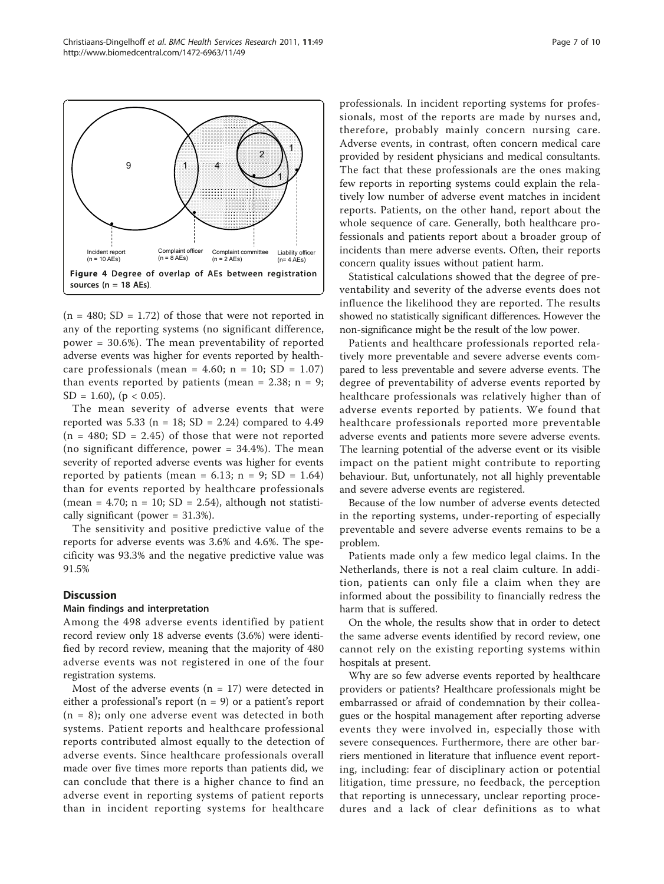<span id="page-6-0"></span>

 $(n = 480; SD = 1.72)$  of those that were not reported in any of the reporting systems (no significant difference, power = 30.6%). The mean preventability of reported adverse events was higher for events reported by healthcare professionals (mean = 4.60;  $n = 10$ ;  $SD = 1.07$ ) than events reported by patients (mean =  $2.38$ ; n = 9;  $SD = 1.60$ , ( $p < 0.05$ ).

The mean severity of adverse events that were reported was 5.33 ( $n = 18$ ; SD = 2.24) compared to 4.49  $(n = 480; SD = 2.45)$  of those that were not reported (no significant difference, power  $=$  34.4%). The mean severity of reported adverse events was higher for events reported by patients (mean =  $6.13$ ; n =  $9$ ; SD =  $1.64$ ) than for events reported by healthcare professionals (mean = 4.70;  $n = 10$ ;  $SD = 2.54$ ), although not statistically significant (power = 31.3%).

The sensitivity and positive predictive value of the reports for adverse events was 3.6% and 4.6%. The specificity was 93.3% and the negative predictive value was 91.5%

# **Discussion**

#### Main findings and interpretation

Among the 498 adverse events identified by patient record review only 18 adverse events (3.6%) were identified by record review, meaning that the majority of 480 adverse events was not registered in one of the four registration systems.

Most of the adverse events  $(n = 17)$  were detected in either a professional's report ( $n = 9$ ) or a patient's report  $(n = 8)$ ; only one adverse event was detected in both systems. Patient reports and healthcare professional reports contributed almost equally to the detection of adverse events. Since healthcare professionals overall made over five times more reports than patients did, we can conclude that there is a higher chance to find an adverse event in reporting systems of patient reports than in incident reporting systems for healthcare

professionals. In incident reporting systems for professionals, most of the reports are made by nurses and, therefore, probably mainly concern nursing care. Adverse events, in contrast, often concern medical care provided by resident physicians and medical consultants. The fact that these professionals are the ones making few reports in reporting systems could explain the relatively low number of adverse event matches in incident reports. Patients, on the other hand, report about the whole sequence of care. Generally, both healthcare professionals and patients report about a broader group of incidents than mere adverse events. Often, their reports concern quality issues without patient harm.

Statistical calculations showed that the degree of preventability and severity of the adverse events does not influence the likelihood they are reported. The results showed no statistically significant differences. However the non-significance might be the result of the low power.

Patients and healthcare professionals reported relatively more preventable and severe adverse events compared to less preventable and severe adverse events. The degree of preventability of adverse events reported by healthcare professionals was relatively higher than of adverse events reported by patients. We found that healthcare professionals reported more preventable adverse events and patients more severe adverse events. The learning potential of the adverse event or its visible impact on the patient might contribute to reporting behaviour. But, unfortunately, not all highly preventable and severe adverse events are registered.

Because of the low number of adverse events detected in the reporting systems, under-reporting of especially preventable and severe adverse events remains to be a problem.

Patients made only a few medico legal claims. In the Netherlands, there is not a real claim culture. In addition, patients can only file a claim when they are informed about the possibility to financially redress the harm that is suffered.

On the whole, the results show that in order to detect the same adverse events identified by record review, one cannot rely on the existing reporting systems within hospitals at present.

Why are so few adverse events reported by healthcare providers or patients? Healthcare professionals might be embarrassed or afraid of condemnation by their colleagues or the hospital management after reporting adverse events they were involved in, especially those with severe consequences. Furthermore, there are other barriers mentioned in literature that influence event reporting, including: fear of disciplinary action or potential litigation, time pressure, no feedback, the perception that reporting is unnecessary, unclear reporting procedures and a lack of clear definitions as to what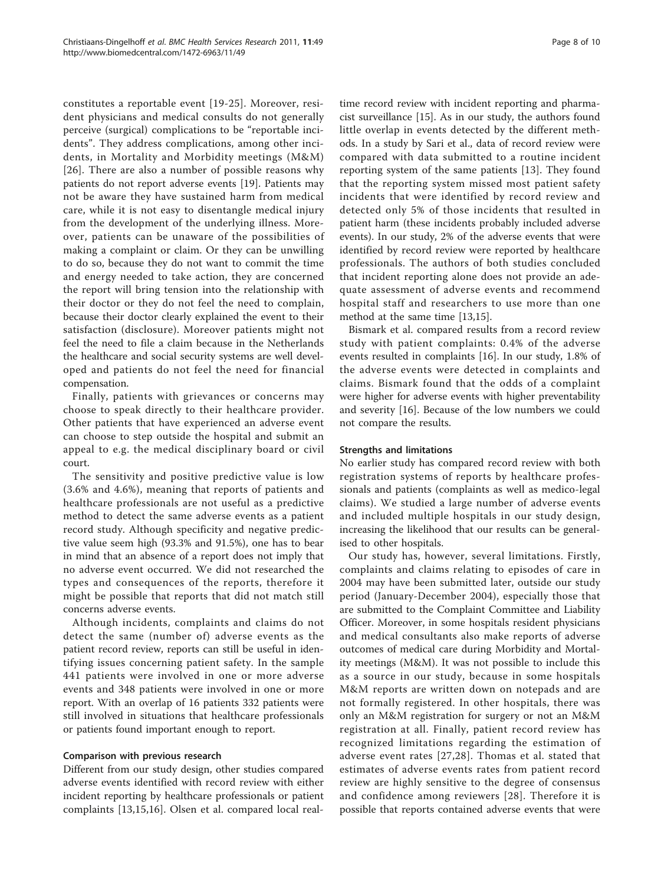constitutes a reportable event [[19](#page-8-0)-[25](#page-9-0)]. Moreover, resident physicians and medical consults do not generally perceive (surgical) complications to be "reportable incidents". They address complications, among other incidents, in Mortality and Morbidity meetings (M&M) [[26](#page-9-0)]. There are also a number of possible reasons why patients do not report adverse events [[19\]](#page-8-0). Patients may not be aware they have sustained harm from medical care, while it is not easy to disentangle medical injury from the development of the underlying illness. Moreover, patients can be unaware of the possibilities of making a complaint or claim. Or they can be unwilling to do so, because they do not want to commit the time and energy needed to take action, they are concerned the report will bring tension into the relationship with their doctor or they do not feel the need to complain, because their doctor clearly explained the event to their satisfaction (disclosure). Moreover patients might not feel the need to file a claim because in the Netherlands the healthcare and social security systems are well developed and patients do not feel the need for financial compensation.

Finally, patients with grievances or concerns may choose to speak directly to their healthcare provider. Other patients that have experienced an adverse event can choose to step outside the hospital and submit an appeal to e.g. the medical disciplinary board or civil court.

The sensitivity and positive predictive value is low (3.6% and 4.6%), meaning that reports of patients and healthcare professionals are not useful as a predictive method to detect the same adverse events as a patient record study. Although specificity and negative predictive value seem high (93.3% and 91.5%), one has to bear in mind that an absence of a report does not imply that no adverse event occurred. We did not researched the types and consequences of the reports, therefore it might be possible that reports that did not match still concerns adverse events.

Although incidents, complaints and claims do not detect the same (number of) adverse events as the patient record review, reports can still be useful in identifying issues concerning patient safety. In the sample 441 patients were involved in one or more adverse events and 348 patients were involved in one or more report. With an overlap of 16 patients 332 patients were still involved in situations that healthcare professionals or patients found important enough to report.

### Comparison with previous research

Different from our study design, other studies compared adverse events identified with record review with either incident reporting by healthcare professionals or patient complaints [[13,15](#page-8-0),[16](#page-8-0)]. Olsen et al. compared local real-

time record review with incident reporting and pharmacist surveillance [\[15\]](#page-8-0). As in our study, the authors found little overlap in events detected by the different methods. In a study by Sari et al., data of record review were compared with data submitted to a routine incident reporting system of the same patients [[13\]](#page-8-0). They found that the reporting system missed most patient safety incidents that were identified by record review and detected only 5% of those incidents that resulted in patient harm (these incidents probably included adverse events). In our study, 2% of the adverse events that were identified by record review were reported by healthcare professionals. The authors of both studies concluded that incident reporting alone does not provide an adequate assessment of adverse events and recommend hospital staff and researchers to use more than one method at the same time [[13,15](#page-8-0)].

Bismark et al. compared results from a record review study with patient complaints: 0.4% of the adverse events resulted in complaints [[16\]](#page-8-0). In our study, 1.8% of the adverse events were detected in complaints and claims. Bismark found that the odds of a complaint were higher for adverse events with higher preventability and severity [[16\]](#page-8-0). Because of the low numbers we could not compare the results.

### Strengths and limitations

No earlier study has compared record review with both registration systems of reports by healthcare professionals and patients (complaints as well as medico-legal claims). We studied a large number of adverse events and included multiple hospitals in our study design, increasing the likelihood that our results can be generalised to other hospitals.

Our study has, however, several limitations. Firstly, complaints and claims relating to episodes of care in 2004 may have been submitted later, outside our study period (January-December 2004), especially those that are submitted to the Complaint Committee and Liability Officer. Moreover, in some hospitals resident physicians and medical consultants also make reports of adverse outcomes of medical care during Morbidity and Mortality meetings (M&M). It was not possible to include this as a source in our study, because in some hospitals M&M reports are written down on notepads and are not formally registered. In other hospitals, there was only an M&M registration for surgery or not an M&M registration at all. Finally, patient record review has recognized limitations regarding the estimation of adverse event rates [[27,28\]](#page-9-0). Thomas et al. stated that estimates of adverse events rates from patient record review are highly sensitive to the degree of consensus and confidence among reviewers [[28\]](#page-9-0). Therefore it is possible that reports contained adverse events that were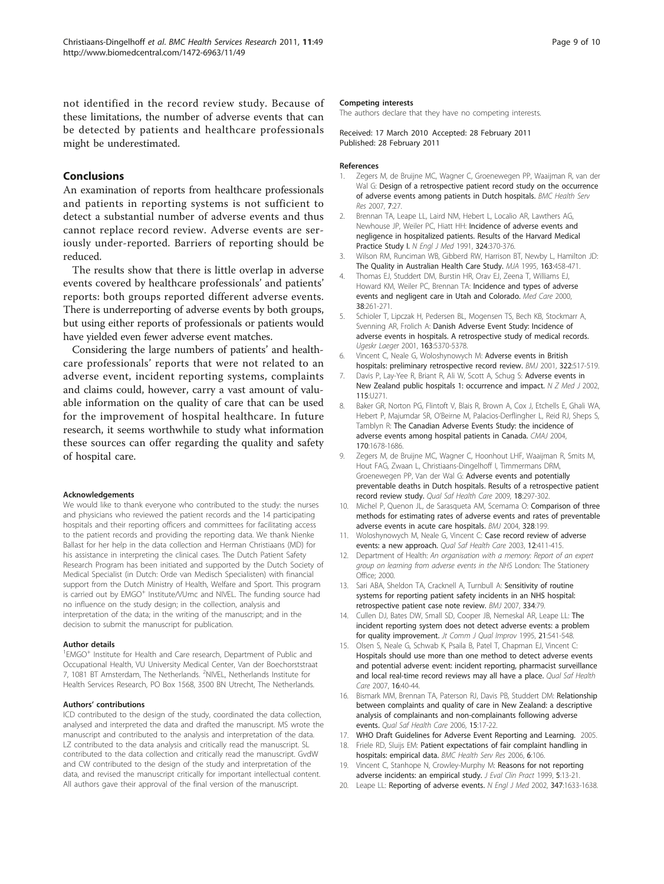<span id="page-8-0"></span>not identified in the record review study. Because of these limitations, the number of adverse events that can be detected by patients and healthcare professionals might be underestimated.

### **Conclusions**

An examination of reports from healthcare professionals and patients in reporting systems is not sufficient to detect a substantial number of adverse events and thus cannot replace record review. Adverse events are seriously under-reported. Barriers of reporting should be reduced.

The results show that there is little overlap in adverse events covered by healthcare professionals' and patients' reports: both groups reported different adverse events. There is underreporting of adverse events by both groups, but using either reports of professionals or patients would have yielded even fewer adverse event matches.

Considering the large numbers of patients' and healthcare professionals' reports that were not related to an adverse event, incident reporting systems, complaints and claims could, however, carry a vast amount of valuable information on the quality of care that can be used for the improvement of hospital healthcare. In future research, it seems worthwhile to study what information these sources can offer regarding the quality and safety of hospital care.

#### Acknowledgements

We would like to thank everyone who contributed to the study: the nurses and physicians who reviewed the patient records and the 14 participating hospitals and their reporting officers and committees for facilitating access to the patient records and providing the reporting data. We thank Nienke Ballast for her help in the data collection and Herman Christiaans (MD) for his assistance in interpreting the clinical cases. The Dutch Patient Safety Research Program has been initiated and supported by the Dutch Society of Medical Specialist (in Dutch: Orde van Medisch Specialisten) with financial support from the Dutch Ministry of Health, Welfare and Sport. This program is carried out by EMGO<sup>+</sup> Institute/VUmc and NIVEL. The funding source had no influence on the study design; in the collection, analysis and interpretation of the data; in the writing of the manuscript; and in the decision to submit the manuscript for publication.

#### Author details

<sup>1</sup>EMGO<sup>+</sup> Institute for Health and Care research, Department of Public and Occupational Health, VU University Medical Center, Van der Boechorststraat 7, 1081 BT Amsterdam, The Netherlands. <sup>2</sup>NIVEL, Netherlands Institute for Health Services Research, PO Box 1568, 3500 BN Utrecht, The Netherlands.

#### Authors' contributions

ICD contributed to the design of the study, coordinated the data collection, analysed and interpreted the data and drafted the manuscript. MS wrote the manuscript and contributed to the analysis and interpretation of the data. LZ contributed to the data analysis and critically read the manuscript. SL contributed to the data collection and critically read the manuscript. GvdW and CW contributed to the design of the study and interpretation of the data, and revised the manuscript critically for important intellectual content. All authors gave their approval of the final version of the manuscript.

#### Competing interests

The authors declare that they have no competing interests.

Received: 17 March 2010 Accepted: 28 February 2011 Published: 28 February 2011

#### References

- 1. Zegers M, de Bruijne MC, Wagner C, Groenewegen PP, Waaijman R, van der Wal G: [Design of a retrospective patient record study on the occurrence](http://www.ncbi.nlm.nih.gov/pubmed/17319971?dopt=Abstract) [of adverse events among patients in Dutch hospitals.](http://www.ncbi.nlm.nih.gov/pubmed/17319971?dopt=Abstract) BMC Health Serv Res 2007, 7:27.
- 2. Brennan TA, Leape LL, Laird NM, Hebert L, Localio AR, Lawthers AG, Newhouse JP, Weiler PC, Hiatt HH: [Incidence of adverse events and](http://www.ncbi.nlm.nih.gov/pubmed/1987460?dopt=Abstract) [negligence in hospitalized patients. Results of the Harvard Medical](http://www.ncbi.nlm.nih.gov/pubmed/1987460?dopt=Abstract) [Practice Study I.](http://www.ncbi.nlm.nih.gov/pubmed/1987460?dopt=Abstract) N Engl J Med 1991, 324:370-376.
- 3. Wilson RM, Runciman WB, Gibberd RW, Harrison BT, Newby L, Hamilton JD: [The Quality in Australian Health Care Study.](http://www.ncbi.nlm.nih.gov/pubmed/7476634?dopt=Abstract) MJA 1995, 163:458-471.
- 4. Thomas EJ, Studdert DM, Burstin HR, Orav EJ, Zeena T, Williams EJ, Howard KM, Weiler PC, Brennan TA: [Incidence and types of adverse](http://www.ncbi.nlm.nih.gov/pubmed/10718351?dopt=Abstract) [events and negligent care in Utah and Colorado.](http://www.ncbi.nlm.nih.gov/pubmed/10718351?dopt=Abstract) Med Care 2000, 38:261-271.
- 5. Schioler T, Lipczak H, Pedersen BL, Mogensen TS, Bech KB, Stockmarr A, Svenning AR, Frolich A: [Danish Adverse Event Study: Incidence of](http://www.ncbi.nlm.nih.gov/pubmed/11590953?dopt=Abstract) [adverse events in hospitals. A retrospective study of medical records.](http://www.ncbi.nlm.nih.gov/pubmed/11590953?dopt=Abstract) Ugeskr Laeger 2001, 163:5370-5378.
- 6. Vincent C, Neale G, Woloshynowych M: [Adverse events in British](http://www.ncbi.nlm.nih.gov/pubmed/11230064?dopt=Abstract) [hospitals: preliminary retrospective record review.](http://www.ncbi.nlm.nih.gov/pubmed/11230064?dopt=Abstract) BMJ 2001, 322:517-519.
- 7. Davis P, Lay-Yee R, Briant R, Ali W, Scott A, Schug S: [Adverse events in](http://www.ncbi.nlm.nih.gov/pubmed/12552260?dopt=Abstract) [New Zealand public hospitals 1: occurrence and impact.](http://www.ncbi.nlm.nih.gov/pubmed/12552260?dopt=Abstract) N Z Med J 2002, 115:U271.
- 8. Baker GR, Norton PG, Flintoft V, Blais R, Brown A, Cox J, Etchells E, Ghali WA, Hebert P, Majumdar SR, O'Beirne M, Palacios-Derflingher L, Reid RJ, Sheps S, Tamblyn R: [The Canadian Adverse Events Study: the incidence of](http://www.ncbi.nlm.nih.gov/pubmed/15159366?dopt=Abstract) [adverse events among hospital patients in Canada.](http://www.ncbi.nlm.nih.gov/pubmed/15159366?dopt=Abstract) CMAJ 2004, 170:1678-1686.
- 9. Zegers M, de Bruijne MC, Wagner C, Hoonhout LHF, Waaijman R, Smits M, Hout FAG, Zwaan L, Christiaans-Dingelhoff I, Timmermans DRM, Groenewegen PP, Van der Wal G: [Adverse events and potentially](http://www.ncbi.nlm.nih.gov/pubmed/19651935?dopt=Abstract) [preventable deaths in Dutch hospitals. Results of a retrospective patient](http://www.ncbi.nlm.nih.gov/pubmed/19651935?dopt=Abstract) [record review study.](http://www.ncbi.nlm.nih.gov/pubmed/19651935?dopt=Abstract) Qual Saf Health Care 2009, 18:297-302.
- 10. Michel P, Quenon JL, de Sarasqueta AM, Scemama O: [Comparison of three](http://www.ncbi.nlm.nih.gov/pubmed/14739187?dopt=Abstract) [methods for estimating rates of adverse events and rates of preventable](http://www.ncbi.nlm.nih.gov/pubmed/14739187?dopt=Abstract) [adverse events in acute care hospitals.](http://www.ncbi.nlm.nih.gov/pubmed/14739187?dopt=Abstract) BMJ 2004, 328:199.
- 11. Woloshynowych M, Neale G, Vincent C: [Case record review of adverse](http://www.ncbi.nlm.nih.gov/pubmed/14645755?dopt=Abstract) [events: a new approach.](http://www.ncbi.nlm.nih.gov/pubmed/14645755?dopt=Abstract) Qual Saf Health Care 2003, 12:411-415.
- 12. Department of Health: An organisation with a memory: Report of an expert group on learning from adverse events in the NHS London: The Stationery Office; 2000.
- 13. Sari ABA, Sheldon TA, Cracknell A, Turnbull A: [Sensitivity of routine](http://www.ncbi.nlm.nih.gov/pubmed/17175566?dopt=Abstract) [systems for reporting patient safety incidents in an NHS hospital:](http://www.ncbi.nlm.nih.gov/pubmed/17175566?dopt=Abstract) [retrospective patient case note review.](http://www.ncbi.nlm.nih.gov/pubmed/17175566?dopt=Abstract) BMJ 2007, 334:79.
- 14. Cullen DJ, Bates DW, Small SD, Cooper JB, Nemeskal AR, Leape LL: [The](http://www.ncbi.nlm.nih.gov/pubmed/8556111?dopt=Abstract) [incident reporting system does not detect adverse events: a problem](http://www.ncbi.nlm.nih.gov/pubmed/8556111?dopt=Abstract) [for quality improvement.](http://www.ncbi.nlm.nih.gov/pubmed/8556111?dopt=Abstract) Jt Comm J Qual Improv 1995, 21:541-548.
- 15. Olsen S, Neale G, Schwab K, Psaila B, Patel T, Chapman EJ, Vincent C: [Hospitals should use more than one method to detect adverse events](http://www.ncbi.nlm.nih.gov/pubmed/17301203?dopt=Abstract) [and potential adverse event: incident reporting, pharmacist surveillance](http://www.ncbi.nlm.nih.gov/pubmed/17301203?dopt=Abstract) [and local real-time record reviews may all have a place.](http://www.ncbi.nlm.nih.gov/pubmed/17301203?dopt=Abstract) Qual Saf Health Care 2007, 16:40-44.
- 16. Bismark MM, Brennan TA, Paterson RJ, Davis PB, Studdert DM: [Relationship](http://www.ncbi.nlm.nih.gov/pubmed/16456205?dopt=Abstract) [between complaints and quality of care in New Zealand: a descriptive](http://www.ncbi.nlm.nih.gov/pubmed/16456205?dopt=Abstract) [analysis of complainants and non-complainants following adverse](http://www.ncbi.nlm.nih.gov/pubmed/16456205?dopt=Abstract) [events.](http://www.ncbi.nlm.nih.gov/pubmed/16456205?dopt=Abstract) Qual Saf Health Care 2006, 15:17-22.
- 17. WHO Draft Guidelines for Adverse Event Reporting and Learning. 2005.
- 18. Friele RD, Sluijs EM: [Patient expectations of fair complaint handling in](http://www.ncbi.nlm.nih.gov/pubmed/16919165?dopt=Abstract) [hospitals: empirical data.](http://www.ncbi.nlm.nih.gov/pubmed/16919165?dopt=Abstract) BMC Health Serv Res 2006, 6:106.
- 19. Vincent C, Stanhope N, Crowley-Murphy M: [Reasons for not reporting](http://www.ncbi.nlm.nih.gov/pubmed/10468380?dopt=Abstract) [adverse incidents: an empirical study.](http://www.ncbi.nlm.nih.gov/pubmed/10468380?dopt=Abstract) J Eval Clin Pract 1999, 5:13-21.
- 20. Leape LL: [Reporting of adverse events.](http://www.ncbi.nlm.nih.gov/pubmed/12432059?dopt=Abstract) N Engl J Med 2002, 347:1633-1638.